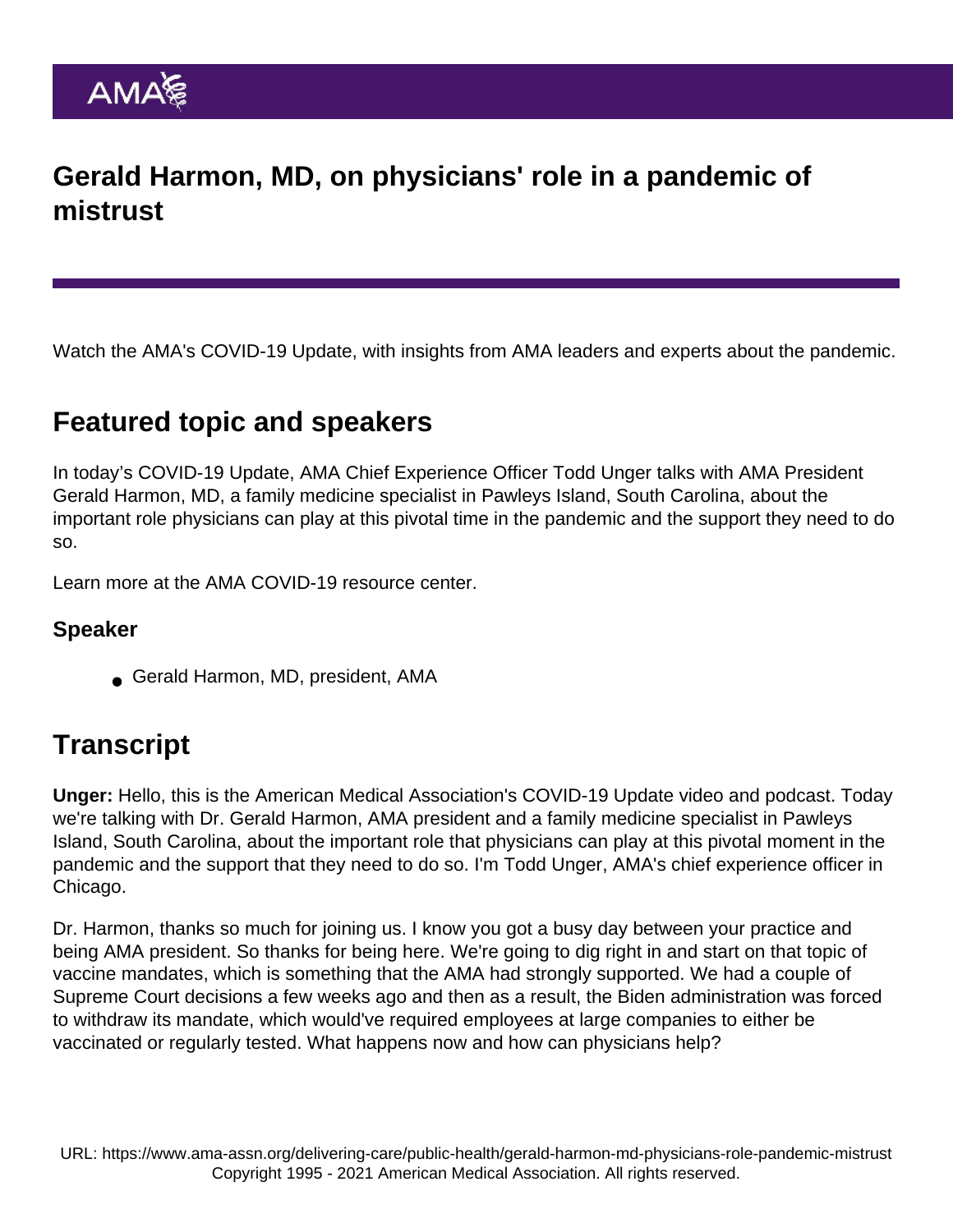# Gerald Harmon, MD, on physicians' role in a pandemic of mistrust

Watch the AMA's COVID-19 Update, with insights from AMA leaders and experts about the pandemic.

### Featured topic and speakers

In today's COVID-19 Update, AMA Chief Experience Officer Todd Unger talks with AMA President Gerald Harmon, MD, a family medicine specialist in Pawleys Island, South Carolina, about the important role physicians can play at this pivotal time in the pandemic and the support they need to do so.

Learn more at the [AMA COVID-19 resource center](https://www.ama-assn.org/delivering-care/public-health/covid-19-2019-novel-coronavirus-resource-center-physicians).

### Speaker

Gerald Harmon, MD, president, AMA

## **Transcript**

Unger: Hello, this is the American Medical Association's COVID-19 Update video and podcast. Today we're talking with Dr. Gerald Harmon, AMA president and a family medicine specialist in Pawleys Island, South Carolina, about the important role that physicians can play at this pivotal moment in the pandemic and the support that they need to do so. I'm Todd Unger, AMA's chief experience officer in Chicago.

Dr. Harmon, thanks so much for joining us. I know you got a busy day between your practice and being AMA president. So thanks for being here. We're going to dig right in and start on that topic of vaccine mandates, which is something that the AMA had strongly supported. We had a couple of Supreme Court decisions a few weeks ago and then as a result, the Biden administration was forced to withdraw its mandate, which would've required employees at large companies to either be vaccinated or regularly tested. What happens now and how can physicians help?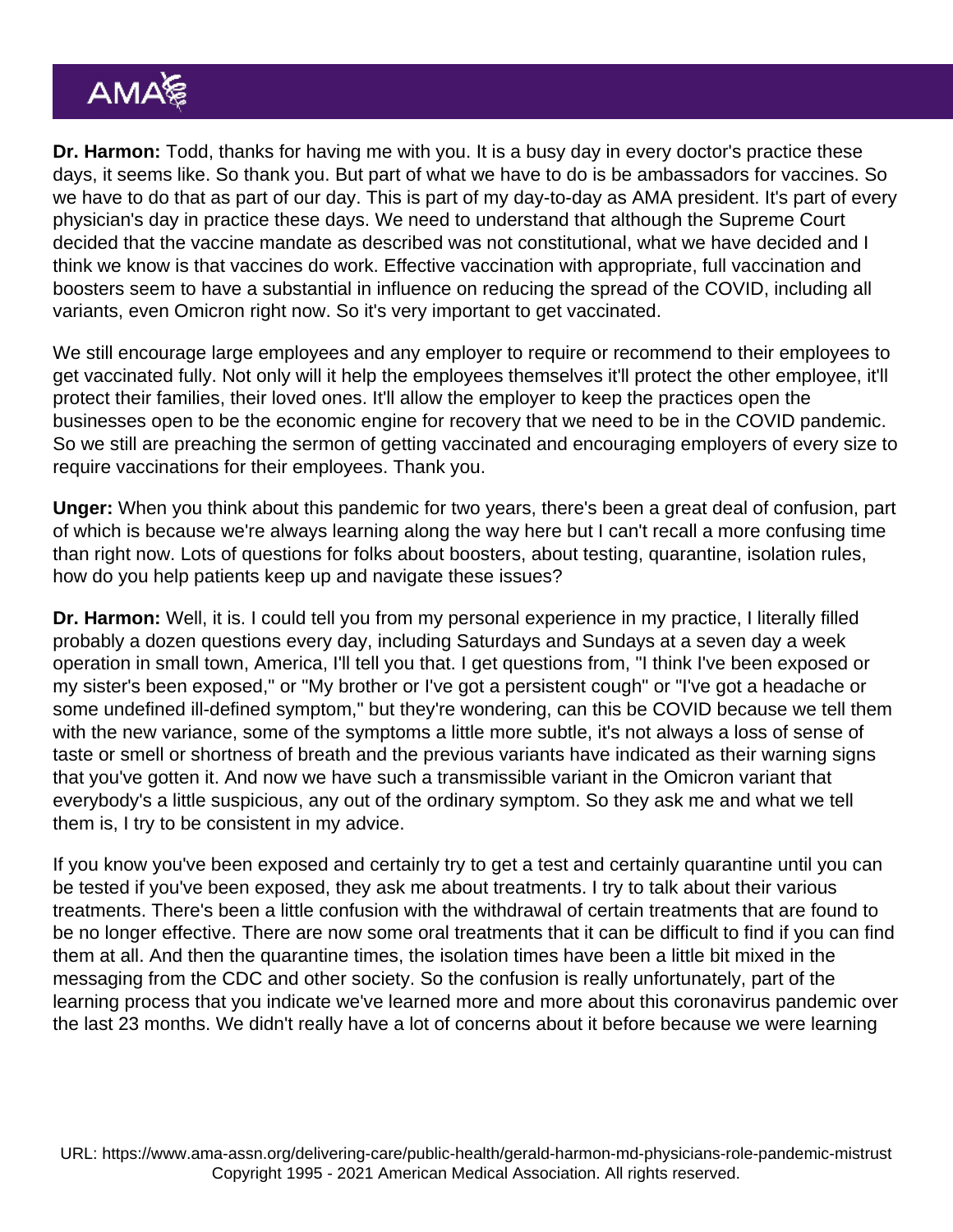Dr. Harmon: Todd, thanks for having me with you. It is a busy day in every doctor's practice these days, it seems like. So thank you. But part of what we have to do is be ambassadors for vaccines. So we have to do that as part of our day. This is part of my day-to-day as AMA president. It's part of every physician's day in practice these days. We need to understand that although the Supreme Court decided that the vaccine mandate as described was not constitutional, what we have decided and I think we know is that vaccines do work. Effective vaccination with appropriate, full vaccination and boosters seem to have a substantial in influence on reducing the spread of the COVID, including all variants, even Omicron right now. So it's very important to get vaccinated.

We still encourage large employees and any employer to require or recommend to their employees to get vaccinated fully. Not only will it help the employees themselves it'll protect the other employee, it'll protect their families, their loved ones. It'll allow the employer to keep the practices open the businesses open to be the economic engine for recovery that we need to be in the COVID pandemic. So we still are preaching the sermon of getting vaccinated and encouraging employers of every size to require vaccinations for their employees. Thank you.

Unger: When you think about this pandemic for two years, there's been a great deal of confusion, part of which is because we're always learning along the way here but I can't recall a more confusing time than right now. Lots of questions for folks about boosters, about testing, quarantine, isolation rules, how do you help patients keep up and navigate these issues?

Dr. Harmon: Well, it is. I could tell you from my personal experience in my practice, I literally filled probably a dozen questions every day, including Saturdays and Sundays at a seven day a week operation in small town, America, I'll tell you that. I get questions from, "I think I've been exposed or my sister's been exposed," or "My brother or I've got a persistent cough" or "I've got a headache or some undefined ill-defined symptom," but they're wondering, can this be COVID because we tell them with the new variance, some of the symptoms a little more subtle, it's not always a loss of sense of taste or smell or shortness of breath and the previous variants have indicated as their warning signs that you've gotten it. And now we have such a transmissible variant in the Omicron variant that everybody's a little suspicious, any out of the ordinary symptom. So they ask me and what we tell them is, I try to be consistent in my advice.

If you know you've been exposed and certainly try to get a test and certainly quarantine until you can be tested if you've been exposed, they ask me about treatments. I try to talk about their various treatments. There's been a little confusion with the withdrawal of certain treatments that are found to be no longer effective. There are now some oral treatments that it can be difficult to find if you can find them at all. And then the quarantine times, the isolation times have been a little bit mixed in the messaging from the CDC and other society. So the confusion is really unfortunately, part of the learning process that you indicate we've learned more and more about this coronavirus pandemic over the last 23 months. We didn't really have a lot of concerns about it before because we were learning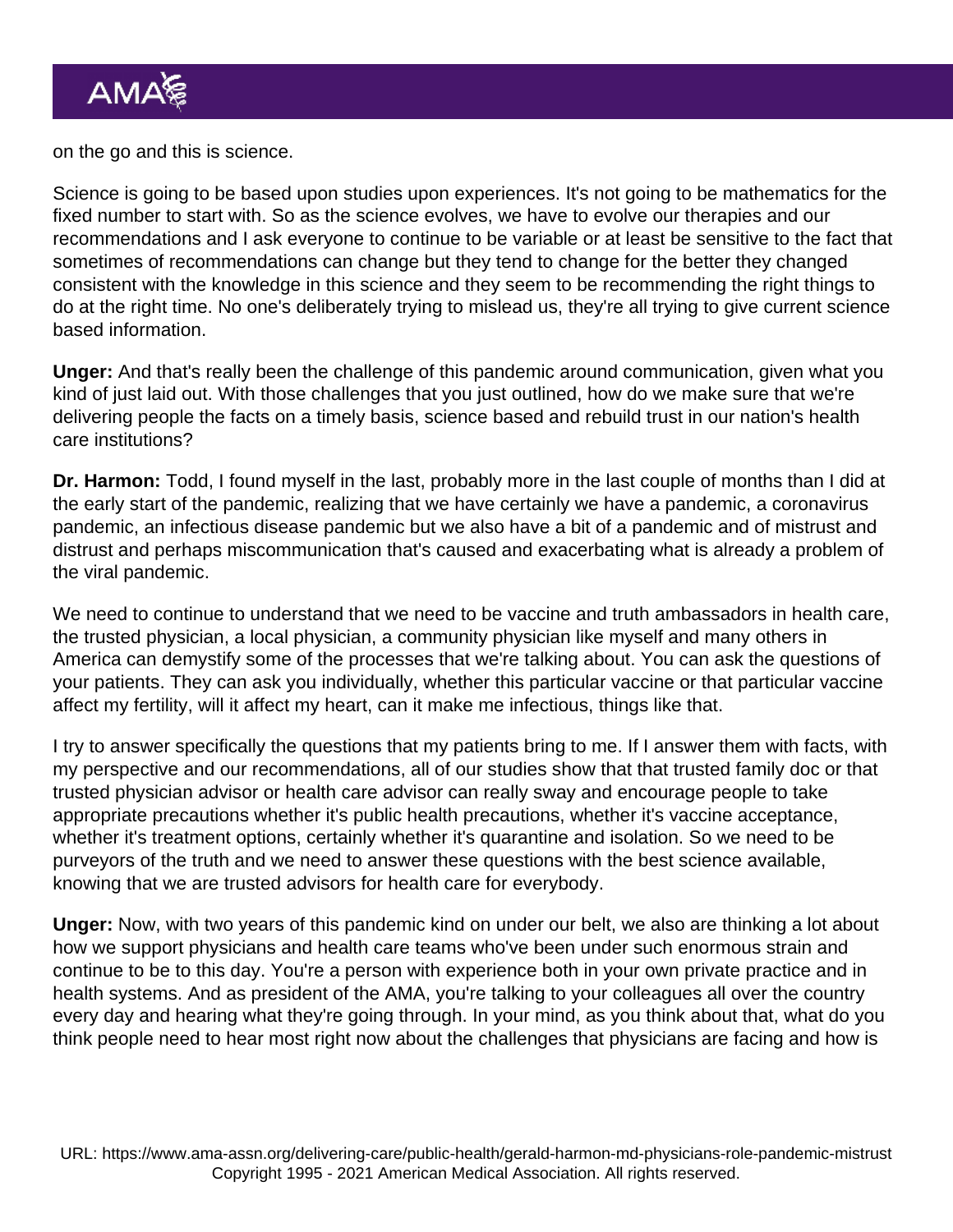on the go and this is science.

Science is going to be based upon studies upon experiences. It's not going to be mathematics for the fixed number to start with. So as the science evolves, we have to evolve our therapies and our recommendations and I ask everyone to continue to be variable or at least be sensitive to the fact that sometimes of recommendations can change but they tend to change for the better they changed consistent with the knowledge in this science and they seem to be recommending the right things to do at the right time. No one's deliberately trying to mislead us, they're all trying to give current science based information.

Unger: And that's really been the challenge of this pandemic around communication, given what you kind of just laid out. With those challenges that you just outlined, how do we make sure that we're delivering people the facts on a timely basis, science based and rebuild trust in our nation's health care institutions?

Dr. Harmon: Todd, I found myself in the last, probably more in the last couple of months than I did at the early start of the pandemic, realizing that we have certainly we have a pandemic, a coronavirus pandemic, an infectious disease pandemic but we also have a bit of a pandemic and of mistrust and distrust and perhaps miscommunication that's caused and exacerbating what is already a problem of the viral pandemic.

We need to continue to understand that we need to be vaccine and truth ambassadors in health care, the trusted physician, a local physician, a community physician like myself and many others in America can demystify some of the processes that we're talking about. You can ask the questions of your patients. They can ask you individually, whether this particular vaccine or that particular vaccine affect my fertility, will it affect my heart, can it make me infectious, things like that.

I try to answer specifically the questions that my patients bring to me. If I answer them with facts, with my perspective and our recommendations, all of our studies show that that trusted family doc or that trusted physician advisor or health care advisor can really sway and encourage people to take appropriate precautions whether it's public health precautions, whether it's vaccine acceptance, whether it's treatment options, certainly whether it's quarantine and isolation. So we need to be purveyors of the truth and we need to answer these questions with the best science available, knowing that we are trusted advisors for health care for everybody.

Unger: Now, with two years of this pandemic kind on under our belt, we also are thinking a lot about how we support physicians and health care teams who've been under such enormous strain and continue to be to this day. You're a person with experience both in your own private practice and in health systems. And as president of the AMA, you're talking to your colleagues all over the country every day and hearing what they're going through. In your mind, as you think about that, what do you think people need to hear most right now about the challenges that physicians are facing and how is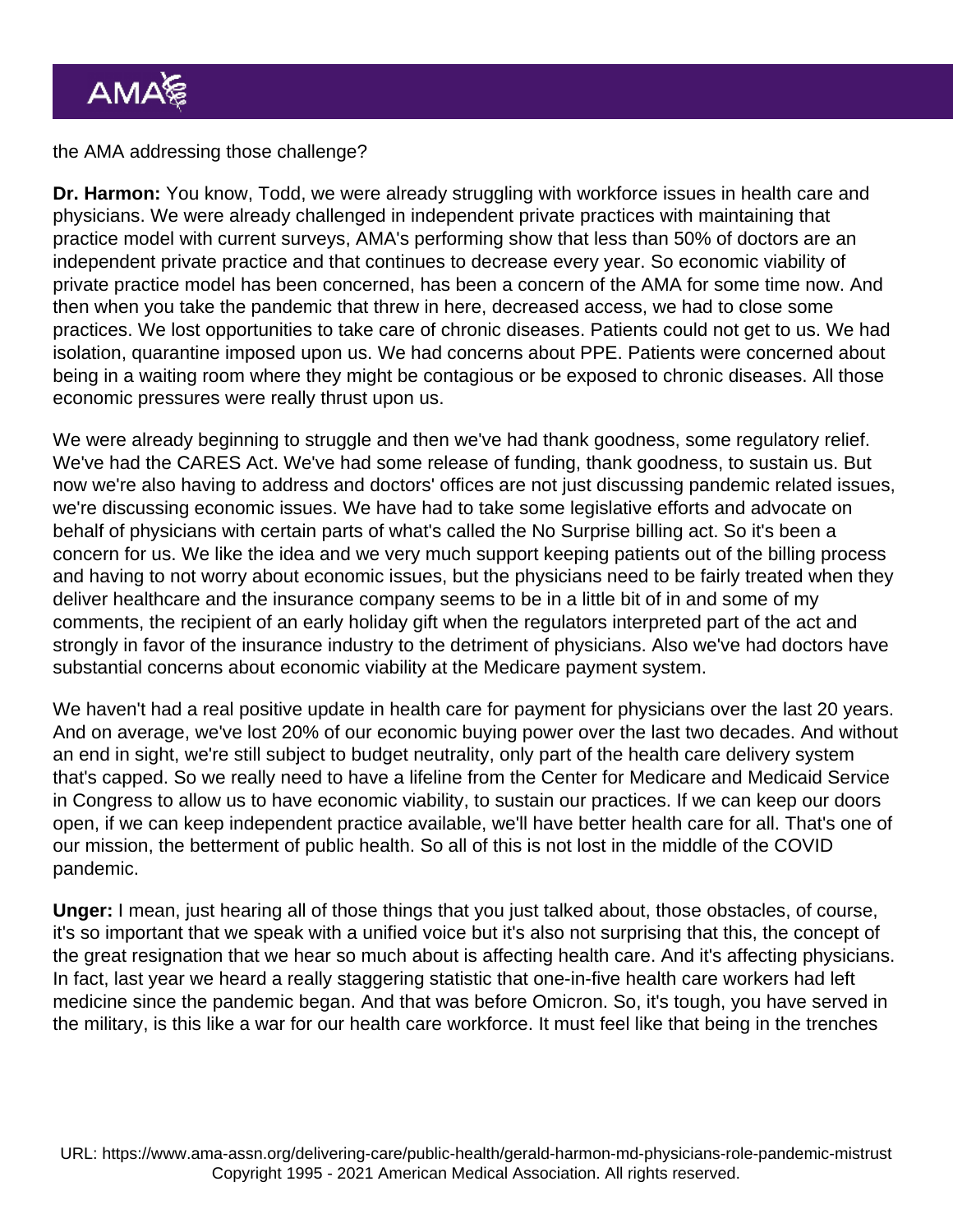#### the AMA addressing those challenge?

Dr. Harmon: You know, Todd, we were already struggling with workforce issues in health care and physicians. We were already challenged in independent private practices with maintaining that practice model with current surveys, AMA's performing show that less than 50% of doctors are an independent private practice and that continues to decrease every year. So economic viability of private practice model has been concerned, has been a concern of the AMA for some time now. And then when you take the pandemic that threw in here, decreased access, we had to close some practices. We lost opportunities to take care of chronic diseases. Patients could not get to us. We had isolation, quarantine imposed upon us. We had concerns about PPE. Patients were concerned about being in a waiting room where they might be contagious or be exposed to chronic diseases. All those economic pressures were really thrust upon us.

We were already beginning to struggle and then we've had thank goodness, some regulatory relief. We've had the CARES Act. We've had some release of funding, thank goodness, to sustain us. But now we're also having to address and doctors' offices are not just discussing pandemic related issues, we're discussing economic issues. We have had to take some legislative efforts and advocate on behalf of physicians with certain parts of what's called the No Surprise billing act. So it's been a concern for us. We like the idea and we very much support keeping patients out of the billing process and having to not worry about economic issues, but the physicians need to be fairly treated when they deliver healthcare and the insurance company seems to be in a little bit of in and some of my comments, the recipient of an early holiday gift when the regulators interpreted part of the act and strongly in favor of the insurance industry to the detriment of physicians. Also we've had doctors have substantial concerns about economic viability at the Medicare payment system.

We haven't had a real positive update in health care for payment for physicians over the last 20 years. And on average, we've lost 20% of our economic buying power over the last two decades. And without an end in sight, we're still subject to budget neutrality, only part of the health care delivery system that's capped. So we really need to have a lifeline from the Center for Medicare and Medicaid Service in Congress to allow us to have economic viability, to sustain our practices. If we can keep our doors open, if we can keep independent practice available, we'll have better health care for all. That's one of our mission, the betterment of public health. So all of this is not lost in the middle of the COVID pandemic.

Unger: I mean, just hearing all of those things that you just talked about, those obstacles, of course, it's so important that we speak with a unified voice but it's also not surprising that this, the concept of the great resignation that we hear so much about is affecting health care. And it's affecting physicians. In fact, last year we heard a really staggering statistic that one-in-five health care workers had left medicine since the pandemic began. And that was before Omicron. So, it's tough, you have served in the military, is this like a war for our health care workforce. It must feel like that being in the trenches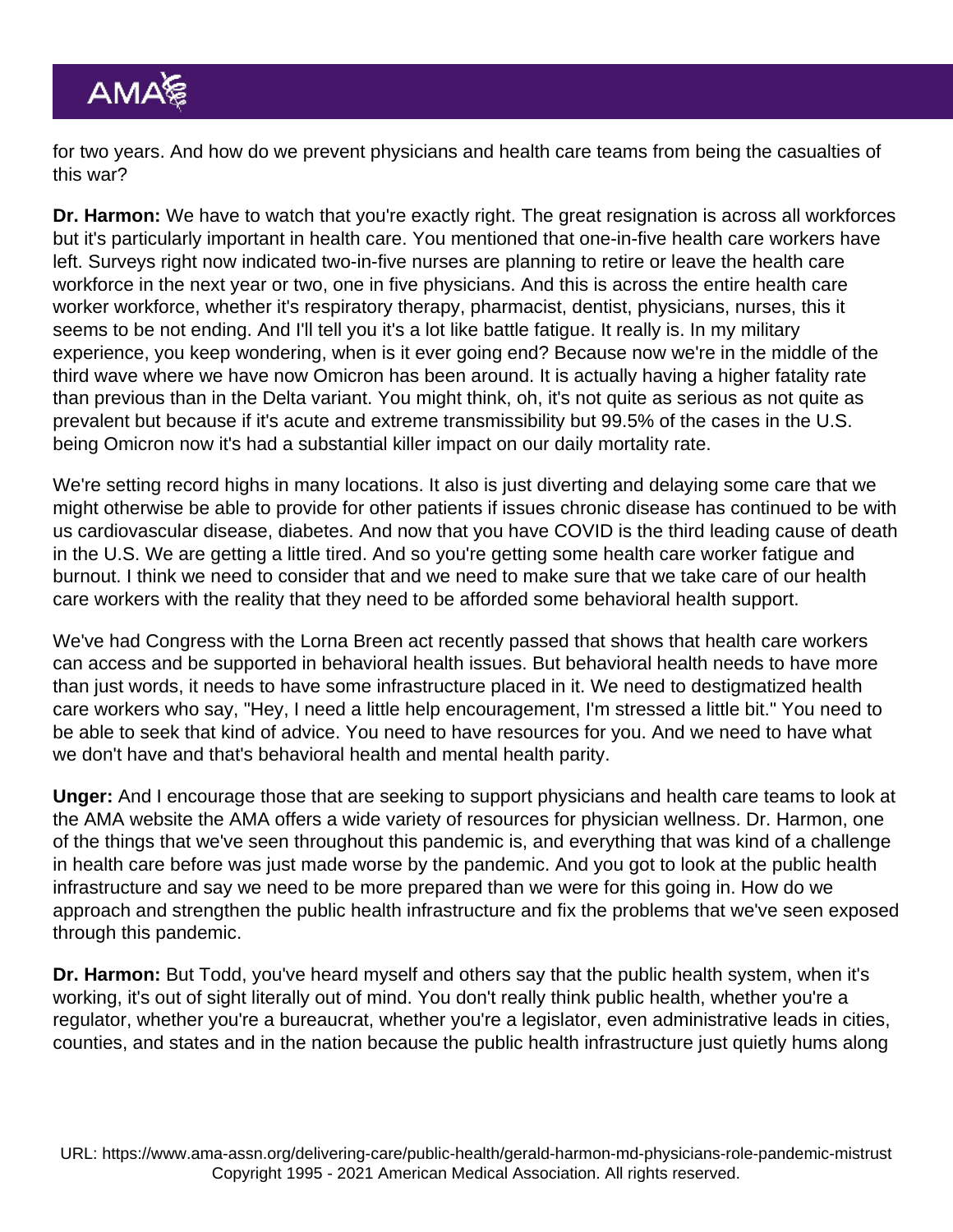for two years. And how do we prevent physicians and health care teams from being the casualties of this war?

Dr. Harmon: We have to watch that you're exactly right. The great resignation is across all workforces but it's particularly important in health care. You mentioned that one-in-five health care workers have left. Surveys right now indicated two-in-five nurses are planning to retire or leave the health care workforce in the next year or two, one in five physicians. And this is across the entire health care worker workforce, whether it's respiratory therapy, pharmacist, dentist, physicians, nurses, this it seems to be not ending. And I'll tell you it's a lot like battle fatigue. It really is. In my military experience, you keep wondering, when is it ever going end? Because now we're in the middle of the third wave where we have now Omicron has been around. It is actually having a higher fatality rate than previous than in the Delta variant. You might think, oh, it's not quite as serious as not quite as prevalent but because if it's acute and extreme transmissibility but 99.5% of the cases in the U.S. being Omicron now it's had a substantial killer impact on our daily mortality rate.

We're setting record highs in many locations. It also is just diverting and delaying some care that we might otherwise be able to provide for other patients if issues chronic disease has continued to be with us cardiovascular disease, diabetes. And now that you have COVID is the third leading cause of death in the U.S. We are getting a little tired. And so you're getting some health care worker fatigue and burnout. I think we need to consider that and we need to make sure that we take care of our health care workers with the reality that they need to be afforded some behavioral health support.

We've had Congress with the Lorna Breen act recently passed that shows that health care workers can access and be supported in behavioral health issues. But behavioral health needs to have more than just words, it needs to have some infrastructure placed in it. We need to destigmatized health care workers who say, "Hey, I need a little help encouragement, I'm stressed a little bit." You need to be able to seek that kind of advice. You need to have resources for you. And we need to have what we don't have and that's behavioral health and mental health parity.

Unger: And I encourage those that are seeking to support physicians and health care teams to look at the AMA website the AMA offers a wide variety of resources for physician wellness. Dr. Harmon, one of the things that we've seen throughout this pandemic is, and everything that was kind of a challenge in health care before was just made worse by the pandemic. And you got to look at the public health infrastructure and say we need to be more prepared than we were for this going in. How do we approach and strengthen the public health infrastructure and fix the problems that we've seen exposed through this pandemic.

Dr. Harmon: But Todd, you've heard myself and others say that the public health system, when it's working, it's out of sight literally out of mind. You don't really think public health, whether you're a regulator, whether you're a bureaucrat, whether you're a legislator, even administrative leads in cities, counties, and states and in the nation because the public health infrastructure just quietly hums along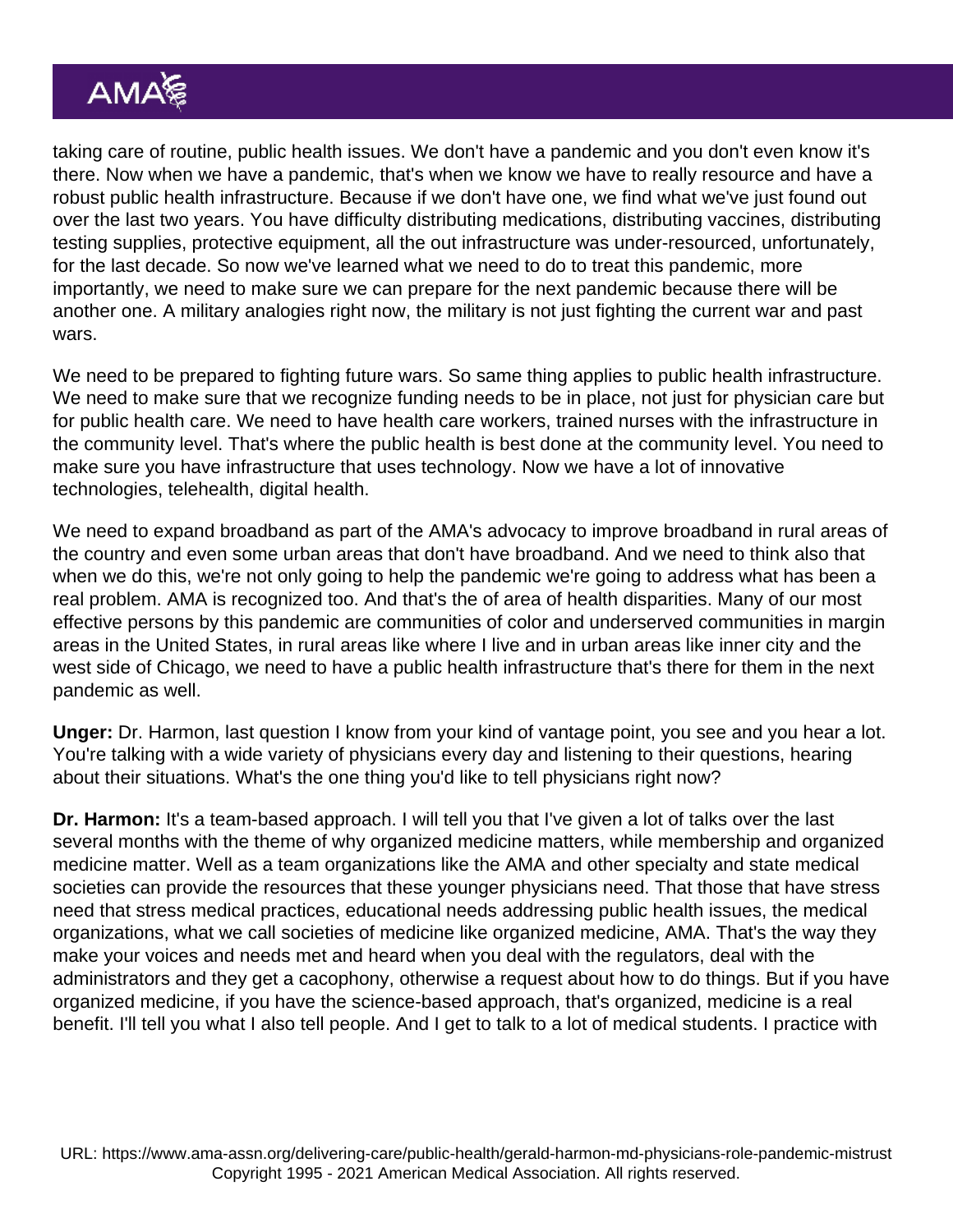taking care of routine, public health issues. We don't have a pandemic and you don't even know it's there. Now when we have a pandemic, that's when we know we have to really resource and have a robust public health infrastructure. Because if we don't have one, we find what we've just found out over the last two years. You have difficulty distributing medications, distributing vaccines, distributing testing supplies, protective equipment, all the out infrastructure was under-resourced, unfortunately, for the last decade. So now we've learned what we need to do to treat this pandemic, more importantly, we need to make sure we can prepare for the next pandemic because there will be another one. A military analogies right now, the military is not just fighting the current war and past wars.

We need to be prepared to fighting future wars. So same thing applies to public health infrastructure. We need to make sure that we recognize funding needs to be in place, not just for physician care but for public health care. We need to have health care workers, trained nurses with the infrastructure in the community level. That's where the public health is best done at the community level. You need to make sure you have infrastructure that uses technology. Now we have a lot of innovative technologies, telehealth, digital health.

We need to expand broadband as part of the AMA's advocacy to improve broadband in rural areas of the country and even some urban areas that don't have broadband. And we need to think also that when we do this, we're not only going to help the pandemic we're going to address what has been a real problem. AMA is recognized too. And that's the of area of health disparities. Many of our most effective persons by this pandemic are communities of color and underserved communities in margin areas in the United States, in rural areas like where I live and in urban areas like inner city and the west side of Chicago, we need to have a public health infrastructure that's there for them in the next pandemic as well.

Unger: Dr. Harmon, last question I know from your kind of vantage point, you see and you hear a lot. You're talking with a wide variety of physicians every day and listening to their questions, hearing about their situations. What's the one thing you'd like to tell physicians right now?

Dr. Harmon: It's a team-based approach. I will tell you that I've given a lot of talks over the last several months with the theme of why organized medicine matters, while membership and organized medicine matter. Well as a team organizations like the AMA and other specialty and state medical societies can provide the resources that these younger physicians need. That those that have stress need that stress medical practices, educational needs addressing public health issues, the medical organizations, what we call societies of medicine like organized medicine, AMA. That's the way they make your voices and needs met and heard when you deal with the regulators, deal with the administrators and they get a cacophony, otherwise a request about how to do things. But if you have organized medicine, if you have the science-based approach, that's organized, medicine is a real benefit. I'll tell you what I also tell people. And I get to talk to a lot of medical students. I practice with